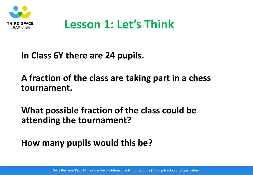

# **Lesson 1: Let's Think**

### **In Class 6Y there are 24 pupils.**

## **A fraction of the class are taking part in a chess tournament.**

## **What possible fraction of the class could be attending the tournament?**

# **How many pupils would this be?**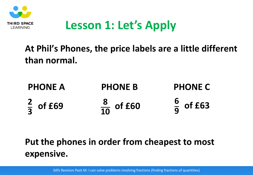

# **Lesson 1: Let's Apply**

**At Phil's Phones, the price labels are a little different than normal.**

| <b>PHONE A</b>       | <b>PHONE B</b>        | <b>PHONE C</b>       |
|----------------------|-----------------------|----------------------|
| $\frac{2}{3}$ of £69 | $\frac{8}{10}$ of £60 | $\frac{6}{9}$ of £63 |

# **Put the phones in order from cheapest to most expensive.**

SATs Revision Pack M: I can solve problems involving fractions (finding fractions of quantities)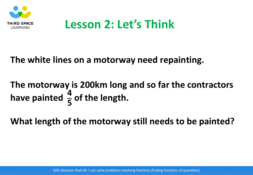

# **Lesson 2: Let's Think**

#### **The white lines on a motorway need repainting.**

#### **The motorway is 200km long and so far the contractors**  have painted  $\frac{4}{5}$  of the length. **4 5**

**What length of the motorway still needs to be painted?**